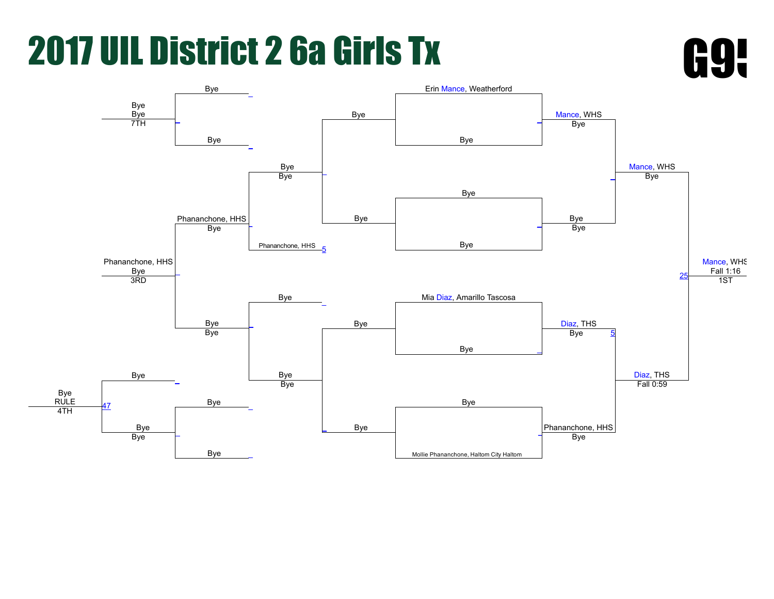

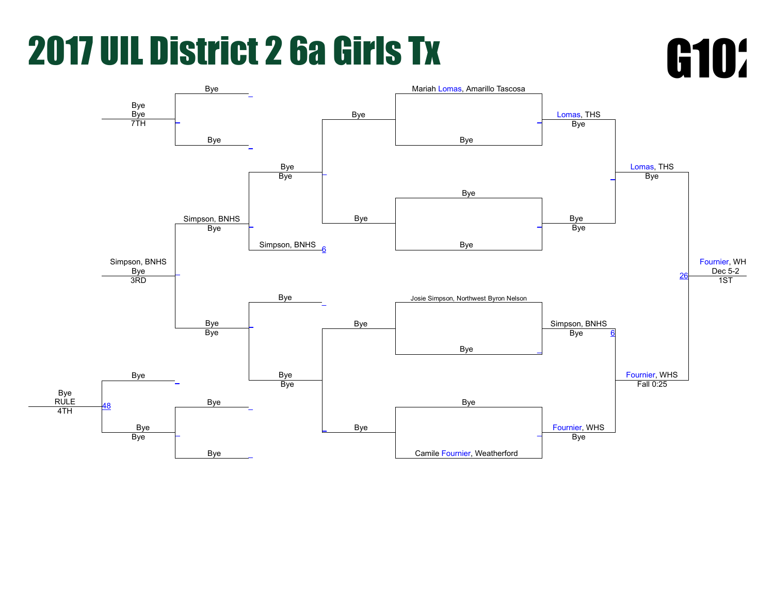

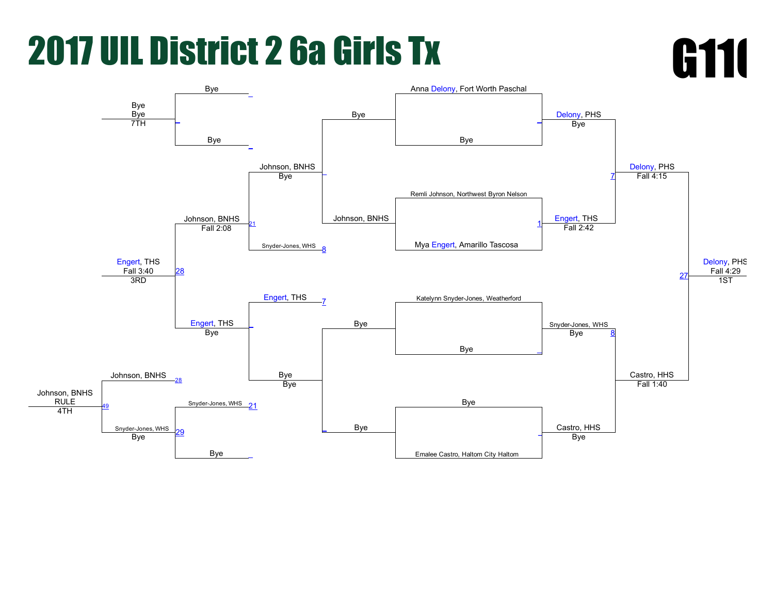

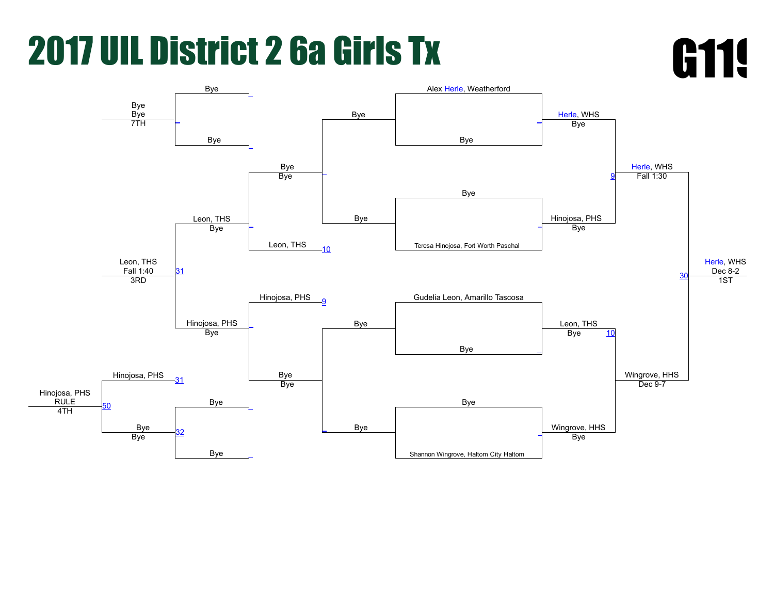

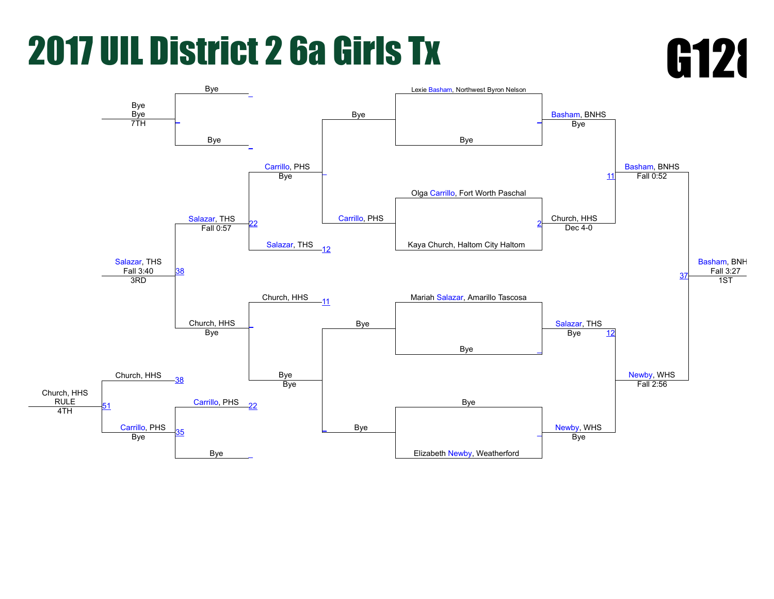

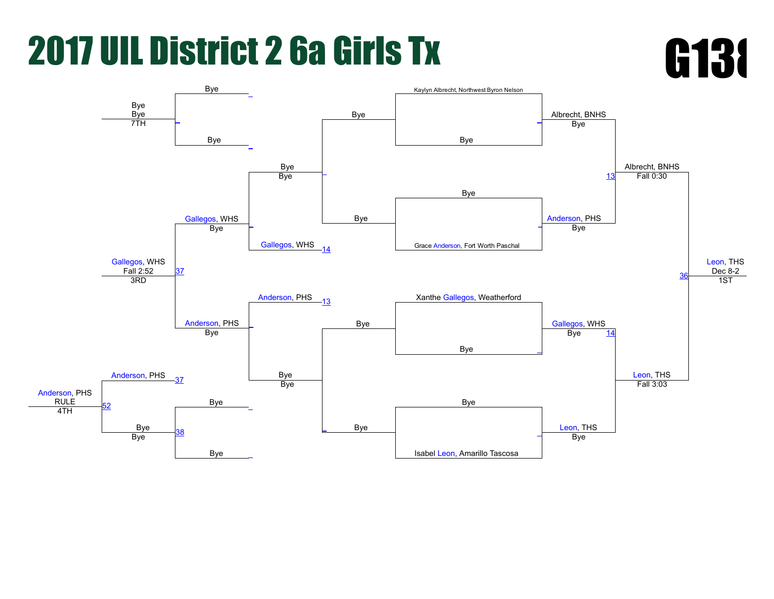

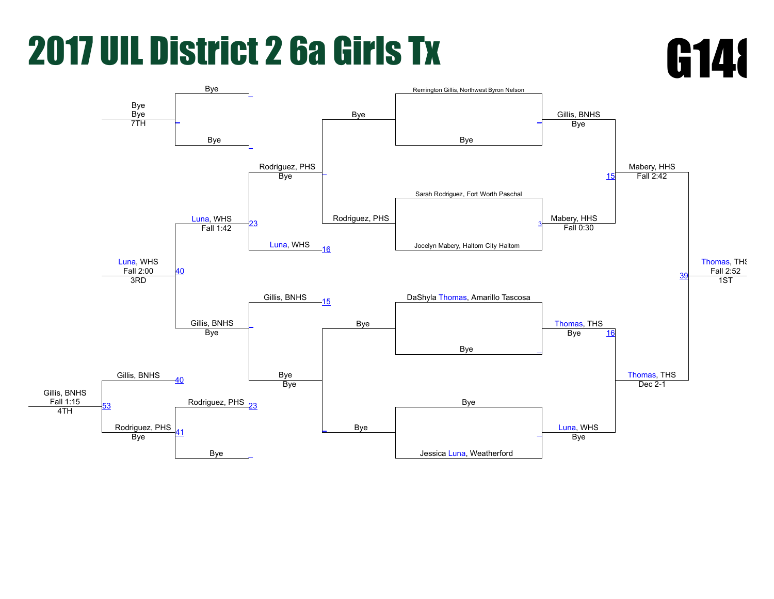

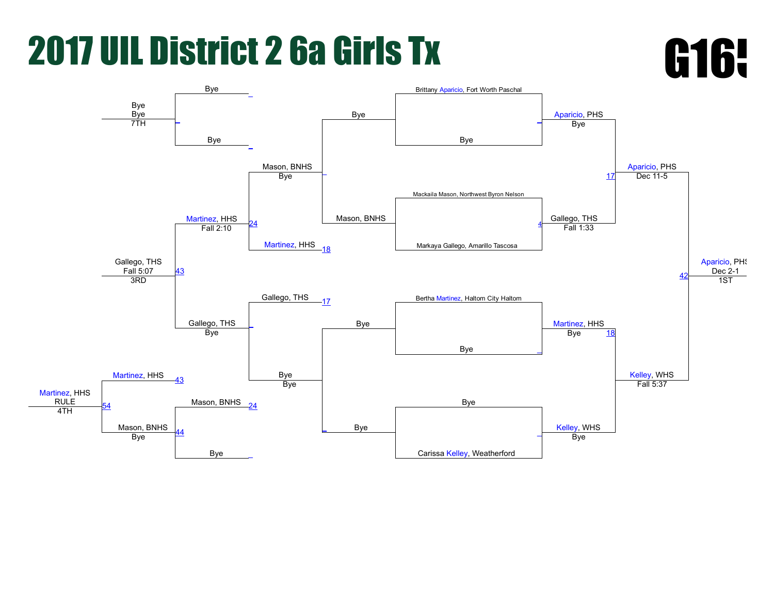

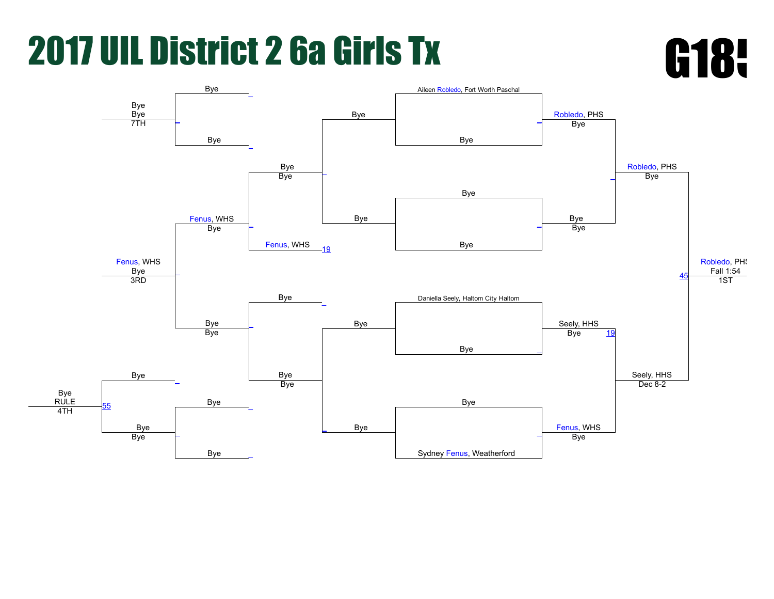